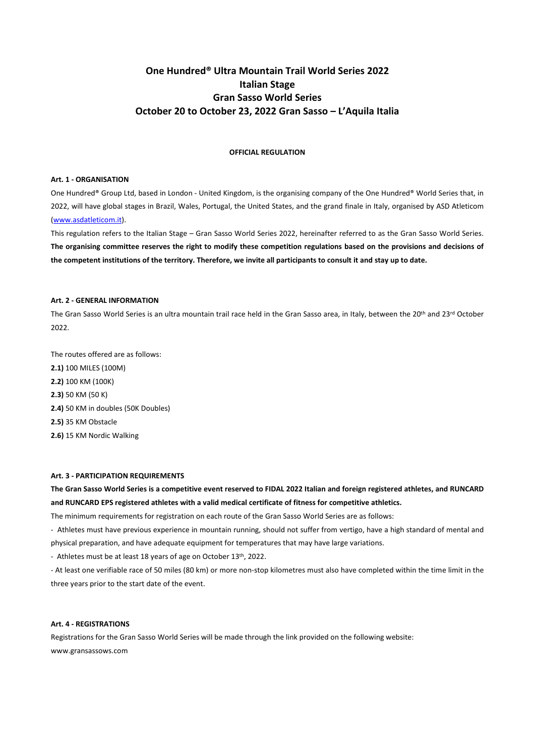# **One Hundred® Ultra Mountain Trail World Series 2022 Italian Stage Gran Sasso World Series October 20 to October 23, 2022 Gran Sasso – L'Aquila Italia**

# **OFFICIAL REGULATION**

#### **Art. 1 - ORGANISATION**

One Hundred® Group Ltd, based in London - United Kingdom, is the organising company of the One Hundred® World Series that, in 2022, will have global stages in Brazil, Wales, Portugal, the United States, and the grand finale in Italy, organised by ASD Atleticom [\(www.asdatleticom.it\)](http://www.asdatleticom.it/).

This regulation refers to the Italian Stage – Gran Sasso World Series 2022, hereinafter referred to as the Gran Sasso World Series. **The organising committee reserves the right to modify these competition regulations based on the provisions and decisions of the competent institutions of the territory. Therefore, we invite all participants to consult it and stay up to date.**

# **Art. 2 - GENERAL INFORMATION**

The Gran Sasso World Series is an ultra mountain trail race held in the Gran Sasso area, in Italy, between the 20<sup>th</sup> and 23<sup>rd</sup> October 2022.

The routes offered are as follows: **2.1)** 100 MILES (100M) **2.2)** 100 KM (100K) **2.3)** 50 KM (50 K) **2.4)** 50 KM in doubles (50K Doubles) **2.5)** 35 KM Obstacle **2.6)** 15 KM Nordic Walking

# **Art. 3 - PARTICIPATION REQUIREMENTS**

**The Gran Sasso World Series is a competitive event reserved to FIDAL 2022 Italian and foreign registered athletes, and RUNCARD and RUNCARD EPS registered athletes with a valid medical certificate of fitness for competitive athletics.**

The minimum requirements for registration on each route of the Gran Sasso World Series are as follows:

- Athletes must have previous experience in mountain running, should not suffer from vertigo, have a high standard of mental and physical preparation, and have adequate equipment for temperatures that may have large variations.

- Athletes must be at least 18 years of age on October 13th, 2022.

- At least one verifiable race of 50 miles (80 km) or more non-stop kilometres must also have completed within the time limit in the three years prior to the start date of the event.

# **Art. 4 - REGISTRATIONS**

Registrations for the Gran Sasso World Series will be made through the link provided on the following website: [www.gransassows.com](http://www.onehundred.run/)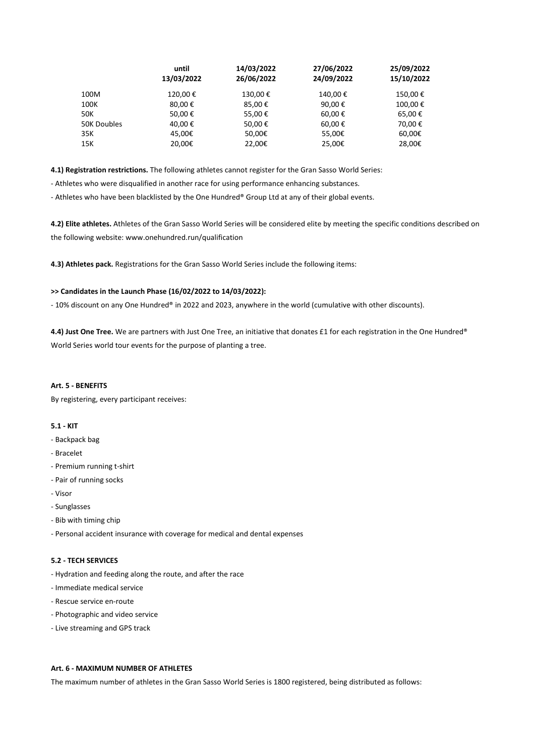|             | until<br>13/03/2022 | 14/03/2022<br>26/06/2022 | 27/06/2022<br>24/09/2022 | 25/09/2022<br>15/10/2022 |
|-------------|---------------------|--------------------------|--------------------------|--------------------------|
| 100M        | 120,00€             | 130,00€                  | 140,00€                  | 150,00€                  |
| 100K        | 80,00€              | 85,00€                   | 90,00€                   | 100,00€                  |
| 50K         | 50,00€              | 55,00€                   | 60,00€                   | 65,00€                   |
| 50K Doubles | 40,00€              | 50,00€                   | 60,00€                   | 70,00€                   |
| 35K         | 45,00€              | 50,00€                   | 55,00€                   | 60,00€                   |
| 15K         | 20,00€              | 22,00€                   | 25,00€                   | 28,00€                   |
|             |                     |                          |                          |                          |

**4.1) Registration restrictions.** The following athletes cannot register for the Gran Sasso World Series:

- Athletes who were disqualified in another race for using performance enhancing substances.

- Athletes who have been blacklisted by the One Hundred® Group Ltd at any of their global events.

**4.2) Elite athletes.** Athletes of the Gran Sasso World Series will be considered elite by meeting the specific conditions described on the following website: [www.onehundred.run/qualification](http://www.onehundred.run/qualification)

**4.3) Athletes pack.** Registrations for the Gran Sasso World Series include the following items:

# **>> Candidates in the Launch Phase (16/02/2022 to 14/03/2022):**

- 10% discount on any One Hundred® in 2022 and 2023, anywhere in the world (cumulative with other discounts).

**4.4) Just One Tree.** We are partners with Just One Tree, an initiative that donates £1 for each registration in the One Hundred® World Series world tour events for the purpose of planting a tree.

# **Art. 5 - BENEFITS**

By registering, every participant receives:

# **5.1 - KIT**

- Backpack bag
- Bracelet
- Premium running t-shirt
- Pair of running socks
- Visor
- Sunglasses
- Bib with timing chip
- Personal accident insurance with coverage for medical and dental expenses

# **5.2 - TECH SERVICES**

- Hydration and feeding along the route, and after the race
- Immediate medical service
- Rescue service en-route
- Photographic and video service
- Live streaming and GPS track

# **Art. 6 - MAXIMUM NUMBER OF ATHLETES**

The maximum number of athletes in the Gran Sasso World Series is 1800 registered, being distributed as follows: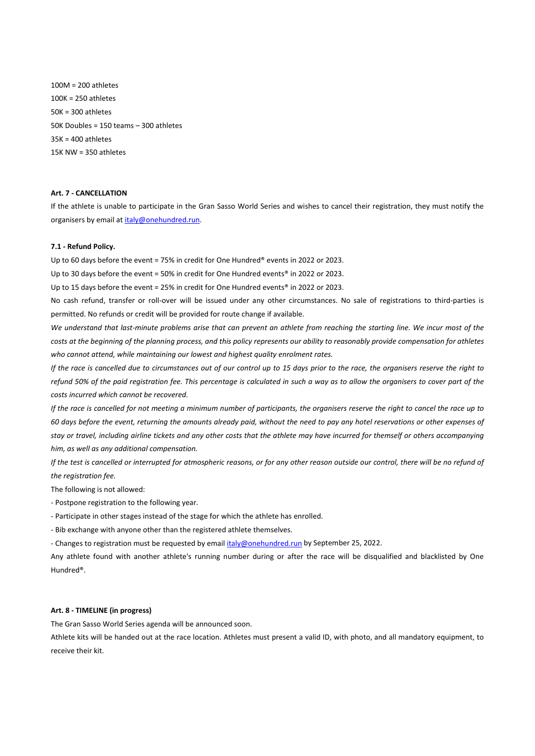100M = 200 athletes 100K = 250 athletes 50K = 300 athletes 50K Doubles = 150 teams – 300 athletes 35K = 400 athletes 15K NW = 350 athletes

# **Art. 7 - CANCELLATION**

If the athlete is unable to participate in the Gran Sasso World Series and wishes to cancel their registration, they must notify the organisers by email at [italy@onehundred.run.](mailto:italy@onehundred.run)

## **7.1 - Refund Policy.**

Up to 60 days before the event = 75% in credit for One Hundred® events in 2022 or 2023.

Up to 30 days before the event = 50% in credit for One Hundred events® in 2022 or 2023.

Up to 15 days before the event = 25% in credit for One Hundred events® in 2022 or 2023.

No cash refund, transfer or roll-over will be issued under any other circumstances. No sale of registrations to third-parties is permitted. No refunds or credit will be provided for route change if available.

*We understand that last-minute problems arise that can prevent an athlete from reaching the starting line. We incur most of the costs at the beginning of the planning process, and this policy represents our ability to reasonably provide compensation for athletes who cannot attend, while maintaining our lowest and highest quality enrolment rates.*

*If the race is cancelled due to circumstances out of our control up to 15 days prior to the race, the organisers reserve the right to refund 50% of the paid registration fee. This percentage is calculated in such a way as to allow the organisers to cover part of the costs incurred which cannot be recovered.*

*If the race is cancelled for not meeting a minimum number of participants, the organisers reserve the right to cancel the race up to 60 days before the event, returning the amounts already paid, without the need to pay any hotel reservations or other expenses of stay or travel, including airline tickets and any other costs that the athlete may have incurred for themself or others accompanying him, as well as any additional compensation.*

*If the test is cancelled or interrupted for atmospheric reasons, or for any other reason outside our control, there will be no refund of the registration fee.*

The following is not allowed:

- Postpone registration to the following year.

- Participate in other stages instead of the stage for which the athlete has enrolled.

- Bib exchange with anyone other than the registered athlete themselves.

- Changes to registration must be requested by emai[l italy@onehundred.run](mailto:italy@onehundred.run) by September 25, 2022.

Any athlete found with another athlete's running number during or after the race will be disqualified and blacklisted by One Hundred®.

# **Art. 8 - TIMELINE (in progress)**

The Gran Sasso World Series agenda will be announced soon.

Athlete kits will be handed out at the race location. Athletes must present a valid ID, with photo, and all mandatory equipment, to receive their kit.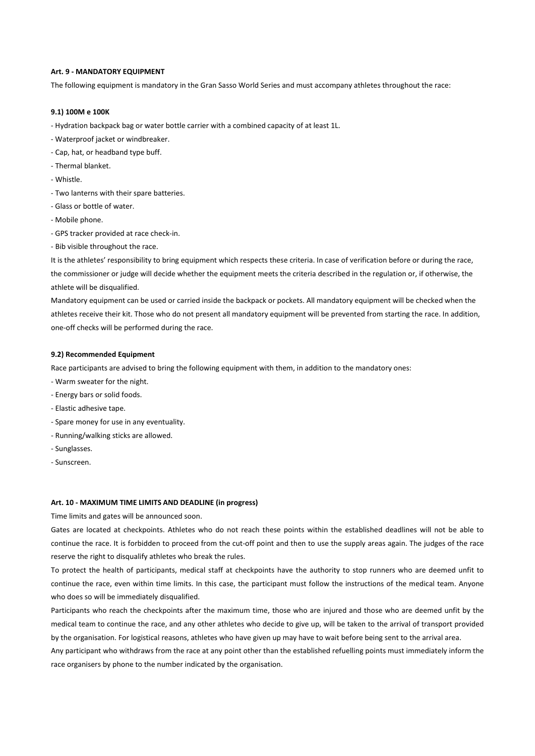# **Art. 9 - MANDATORY EQUIPMENT**

The following equipment is mandatory in the Gran Sasso World Series and must accompany athletes throughout the race:

## **9.1) 100M e 100K**

- Hydration backpack bag or water bottle carrier with a combined capacity of at least 1L.
- Waterproof jacket or windbreaker.
- Cap, hat, or headband type buff.
- Thermal blanket.
- Whistle.
- Two lanterns with their spare batteries.
- Glass or bottle of water.
- Mobile phone.
- GPS tracker provided at race check-in.
- Bib visible throughout the race.

It is the athletes' responsibility to bring equipment which respects these criteria. In case of verification before or during the race, the commissioner or judge will decide whether the equipment meets the criteria described in the regulation or, if otherwise, the athlete will be disqualified.

Mandatory equipment can be used or carried inside the backpack or pockets. All mandatory equipment will be checked when the athletes receive their kit. Those who do not present all mandatory equipment will be prevented from starting the race. In addition, one-off checks will be performed during the race.

#### **9.2) Recommended Equipment**

Race participants are advised to bring the following equipment with them, in addition to the mandatory ones:

- Warm sweater for the night.
- Energy bars or solid foods.
- Elastic adhesive tape.
- Spare money for use in any eventuality.
- Running/walking sticks are allowed.
- Sunglasses.
- Sunscreen.

#### **Art. 10 - MAXIMUM TIME LIMITS AND DEADLINE (in progress)**

Time limits and gates will be announced soon.

Gates are located at checkpoints. Athletes who do not reach these points within the established deadlines will not be able to continue the race. It is forbidden to proceed from the cut-off point and then to use the supply areas again. The judges of the race reserve the right to disqualify athletes who break the rules.

To protect the health of participants, medical staff at checkpoints have the authority to stop runners who are deemed unfit to continue the race, even within time limits. In this case, the participant must follow the instructions of the medical team. Anyone who does so will be immediately disqualified.

Participants who reach the checkpoints after the maximum time, those who are injured and those who are deemed unfit by the medical team to continue the race, and any other athletes who decide to give up, will be taken to the arrival of transport provided by the organisation. For logistical reasons, athletes who have given up may have to wait before being sent to the arrival area.

Any participant who withdraws from the race at any point other than the established refuelling points must immediately inform the race organisers by phone to the number indicated by the organisation.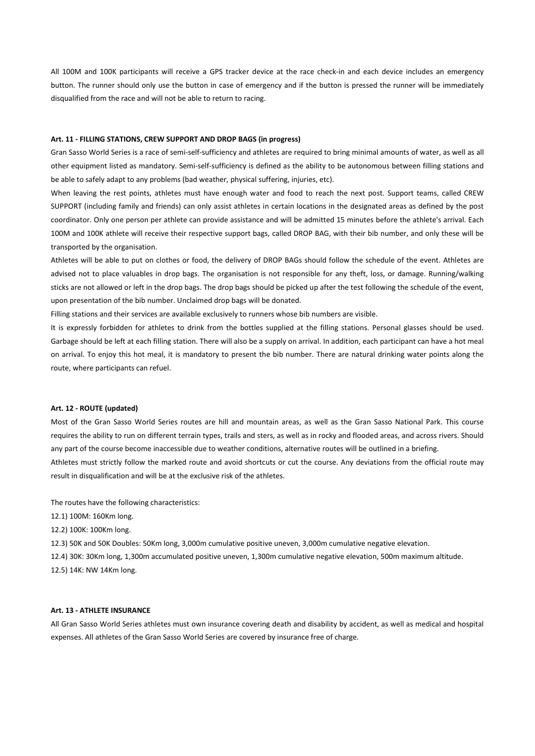All 100M and 100K participants will receive a GPS tracker device at the race check-in and each device includes an emergency button. The runner should only use the button in case of emergency and if the button is pressed the runner will be immediately disqualified from the race and will not be able to return to racing.

# **Art. 11 - FILLING STATIONS, CREW SUPPORT AND DROP BAGS (in progress)**

Gran Sasso World Series is a race of semi-self-sufficiency and athletes are required to bring minimal amounts of water, as well as all other equipment listed as mandatory. Semi-self-sufficiency is defined as the ability to be autonomous between filling stations and be able to safely adapt to any problems (bad weather, physical suffering, injuries, etc).

When leaving the rest points, athletes must have enough water and food to reach the next post. Support teams, called CREW SUPPORT (including family and friends) can only assist athletes in certain locations in the designated areas as defined by the post coordinator. Only one person per athlete can provide assistance and will be admitted 15 minutes before the athlete's arrival. Each 100M and 100K athlete will receive their respective support bags, called DROP BAG, with their bib number, and only these will be transported by the organisation.

Athletes will be able to put on clothes or food, the delivery of DROP BAGs should follow the schedule of the event. Athletes are advised not to place valuables in drop bags. The organisation is not responsible for any theft, loss, or damage. Running/walking sticks are not allowed or left in the drop bags. The drop bags should be picked up after the test following the schedule of the event, upon presentation of the bib number. Unclaimed drop bags will be donated.

Filling stations and their services are available exclusively to runners whose bib numbers are visible.

It is expressly forbidden for athletes to drink from the bottles supplied at the filling stations. Personal glasses should be used. Garbage should be left at each filling station. There will also be a supply on arrival. In addition, each participant can have a hot meal on arrival. To enjoy this hot meal, it is mandatory to present the bib number. There are natural drinking water points along the route, where participants can refuel.

## **Art. 12 - ROUTE (updated)**

Most of the Gran Sasso World Series routes are hill and mountain areas, as well as the Gran Sasso National Park. This course requires the ability to run on different terrain types, trails and sters, as well as in rocky and flooded areas, and across rivers. Should any part of the course become inaccessible due to weather conditions, alternative routes will be outlined in a briefing. Athletes must strictly follow the marked route and avoid shortcuts or cut the course. Any deviations from the official route may

The routes have the following characteristics:

result in disqualification and will be at the exclusive risk of the athletes.

12.1) 100M: 160Km long.

12.2) 100K: 100Km long.

12.3) 50K and 50K Doubles: 50Km long, 3,000m cumulative positive uneven, 3,000m cumulative negative elevation.

12.4) 30K: 30Km long, 1,300m accumulated positive uneven, 1,300m cumulative negative elevation, 500m maximum altitude. 12.5) 14K: NW 14Km long.

# **Art. 13 - ATHLETE INSURANCE**

All Gran Sasso World Series athletes must own insurance covering death and disability by accident, as well as medical and hospital expenses. All athletes of the Gran Sasso World Series are covered by insurance free of charge.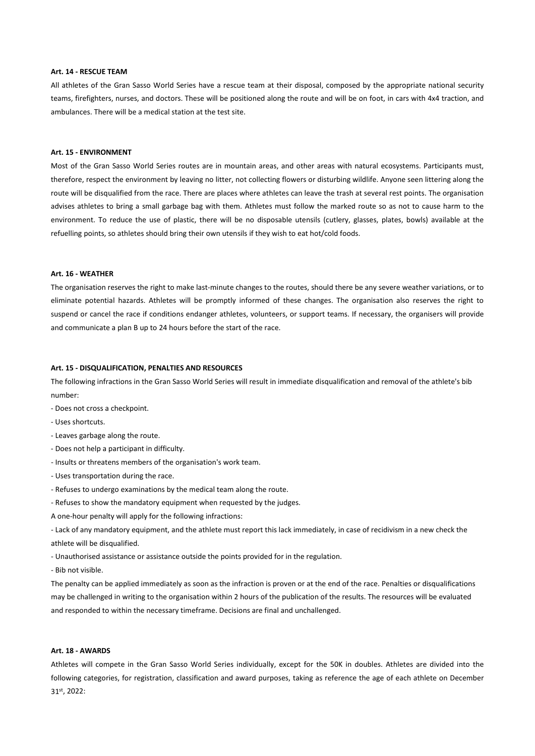# **Art. 14 - RESCUE TEAM**

All athletes of the Gran Sasso World Series have a rescue team at their disposal, composed by the appropriate national security teams, firefighters, nurses, and doctors. These will be positioned along the route and will be on foot, in cars with 4x4 traction, and ambulances. There will be a medical station at the test site.

# **Art. 15 - ENVIRONMENT**

Most of the Gran Sasso World Series routes are in mountain areas, and other areas with natural ecosystems. Participants must, therefore, respect the environment by leaving no litter, not collecting flowers or disturbing wildlife. Anyone seen littering along the route will be disqualified from the race. There are places where athletes can leave the trash at several rest points. The organisation advises athletes to bring a small garbage bag with them. Athletes must follow the marked route so as not to cause harm to the environment. To reduce the use of plastic, there will be no disposable utensils (cutlery, glasses, plates, bowls) available at the refuelling points, so athletes should bring their own utensils if they wish to eat hot/cold foods.

### **Art. 16 - WEATHER**

The organisation reserves the right to make last-minute changes to the routes, should there be any severe weather variations, or to eliminate potential hazards. Athletes will be promptly informed of these changes. The organisation also reserves the right to suspend or cancel the race if conditions endanger athletes, volunteers, or support teams. If necessary, the organisers will provide and communicate a plan B up to 24 hours before the start of the race.

# **Art. 15 - DISQUALIFICATION, PENALTIES AND RESOURCES**

The following infractions in the Gran Sasso World Series will result in immediate disqualification and removal of the athlete's bib number:

- Does not cross a checkpoint.
- Uses shortcuts.
- Leaves garbage along the route.
- Does not help a participant in difficulty.
- Insults or threatens members of the organisation's work team.
- Uses transportation during the race.
- Refuses to undergo examinations by the medical team along the route.
- Refuses to show the mandatory equipment when requested by the judges.
- A one-hour penalty will apply for the following infractions:

- Lack of any mandatory equipment, and the athlete must report this lack immediately, in case of recidivism in a new check the athlete will be disqualified.

- Unauthorised assistance or assistance outside the points provided for in the regulation.

- Bib not visible.

The penalty can be applied immediately as soon as the infraction is proven or at the end of the race. Penalties or disqualifications may be challenged in writing to the organisation within 2 hours of the publication of the results. The resources will be evaluated and responded to within the necessary timeframe. Decisions are final and unchallenged.

# **Art. 18 - AWARDS**

Athletes will compete in the Gran Sasso World Series individually, except for the 50K in doubles. Athletes are divided into the following categories, for registration, classification and award purposes, taking as reference the age of each athlete on December 31st, 2022: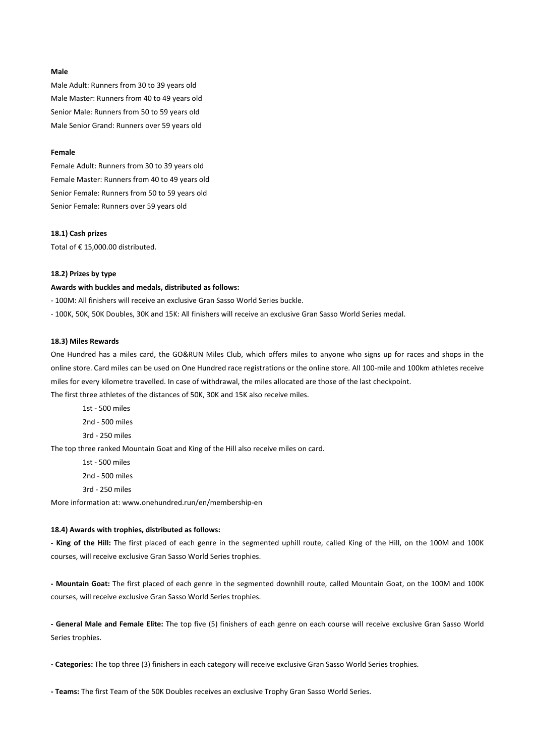## **Male**

Male Adult: Runners from 30 to 39 years old Male Master: Runners from 40 to 49 years old Senior Male: Runners from 50 to 59 years old Male Senior Grand: Runners over 59 years old

# **Female**

Female Adult: Runners from 30 to 39 years old Female Master: Runners from 40 to 49 years old Senior Female: Runners from 50 to 59 years old Senior Female: Runners over 59 years old

#### **18.1) Cash prizes**

Total of € 15,000.00 distributed.

#### **18.2) Prizes by type**

#### **Awards with buckles and medals, distributed as follows:**

- 100M: All finishers will receive an exclusive Gran Sasso World Series buckle.

- 100K, 50K, 50K Doubles, 30K and 15K: All finishers will receive an exclusive Gran Sasso World Series medal.

#### **18.3) Miles Rewards**

One Hundred has a miles card, the GO&RUN Miles Club, which offers miles to anyone who signs up for races and shops in the online store. Card miles can be used on One Hundred race registrations or the online store. All 100-mile and 100km athletes receive miles for every kilometre travelled. In case of withdrawal, the miles allocated are those of the last checkpoint.

The first three athletes of the distances of 50K, 30K and 15K also receive miles.

- 1st 500 miles
- 2nd 500 miles
- 3rd 250 miles

The top three ranked Mountain Goat and King of the Hill also receive miles on card.

- 1st 500 miles
- 2nd 500 miles
- 3rd 250 miles

More information at: [www.onehundred.run/en/membership-en](http://www.onehundred.run/en/membership-en%20ww.onehundred.run/)

# **18.4) Awards with trophies, distributed as follows:**

**- King of the Hill:** The first placed of each genre in the segmented uphill route, called King of the Hill, on the 100M and 100K courses, will receive exclusive Gran Sasso World Series trophies.

**- Mountain Goat:** The first placed of each genre in the segmented downhill route, called Mountain Goat, on the 100M and 100K courses, will receive exclusive Gran Sasso World Series trophies.

**- General Male and Female Elite:** The top five (5) finishers of each genre on each course will receive exclusive Gran Sasso World Series trophies.

**- Categories:** The top three (3) finishers in each category will receive exclusive Gran Sasso World Series trophies.

**- Teams:** The first Team of the 50K Doubles receives an exclusive Trophy Gran Sasso World Series.